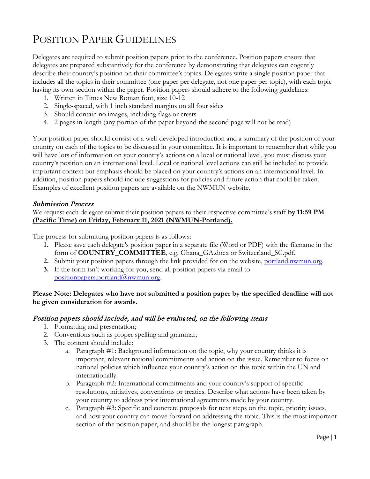# POSITION PAPER GUIDELINES

Delegates are required to submit position papers prior to the conference. Position papers ensure that delegates are prepared substantively for the conference by demonstrating that delegates can cogently describe their country's position on their committee's topics. Delegates write a single position paper that includes all the topics in their committee (one paper per delegate, not one paper per topic), with each topic having its own section within the paper. Position papers should adhere to the following guidelines:

- 1. Written in Times New Roman font, size 10-12
- 2. Single-spaced, with 1 inch standard margins on all four sides
- 3. Should contain no images, including flags or crests
- 4. 2 pages in length (any portion of the paper beyond the second page will not be read)

Your position paper should consist of a well-developed introduction and a summary of the position of your country on each of the topics to be discussed in your committee. It is important to remember that while you will have lots of information on your country's actions on a local or national level, you must discuss your country's position on an international level. Local or national level actions can still be included to provide important context but emphasis should be placed on your country's actions on an international level. In addition, position papers should include suggestions for policies and future action that could be taken. Examples of excellent position papers are available on the NWMUN website.

# Submission Process

We request each delegate submit their position papers to their respective committee's staff **by 11:59 PM (Pacific Time) on Friday, February 11, 2021 (NWMUN-Portland).**

The process for submitting position papers is as follows:

- **1.** Please save each delegate's position paper in a separate file (Word or PDF) with the filename in the form of **COUNTRY\_COMMITTEE**, e.g. Ghana\_GA.docx or Switzerland\_SC.pdf.
- **2.** Submit your position papers through the link provided for on the website, [portland.nwmun.org.](http://portland.nwmun.org/)
- **3.** If the form isn't working for you, send all position papers via email to [positionpapers.portland@nwmun.org.](mailto:positionpapers.portland@nwmun.org)

# **Please Note: Delegates who have not submitted a position paper by the specified deadline will not be given consideration for awards.**

# Position papers should include, and will be evaluated, on the following items

- 1. Formatting and presentation;
- 2. Conventions such as proper spelling and grammar;
- 3. The content should include:
	- a. Paragraph #1: Background information on the topic, why your country thinks it is important, relevant national commitments and action on the issue. Remember to focus on national policies which influence your country's action on this topic within the UN and internationally.
	- b. Paragraph #2: International commitments and your country's support of specific resolutions, initiatives, conventions or treaties. Describe what actions have been taken by your country to address prior international agreements made by your country.
	- c. Paragraph #3: Specific and concrete proposals for next steps on the topic, priority issues, and how your country can move forward on addressing the topic. This is the most important section of the position paper, and should be the longest paragraph.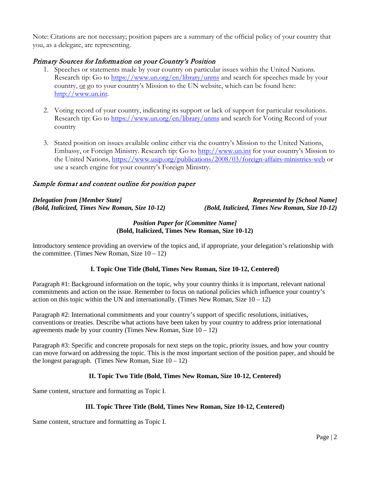Note: Citations are not necessary; position papers are a summary of the official policy of your country that you, as a delegate, are representing.

# Primary Sources for Information on your Country's Position

- 1. Speeches or statements made by your country on particular issues within the United Nations. Research tip: Go to<https://www.un.org/en/library/unms> and search for speeches made by your country, or go to your country's Mission to the UN website, which can be found here: [http://www.un.int.](http://www.un.int/)
- 2. Voting record of your country, indicating its support or lack of support for particular resolutions. Research tip: Go to<https://www.un.org/en/library/unms> and search for Voting Record of your country
- 3. Stated position on issues available online either via the country's Mission to the United Nations, Embassy, or Foreign Ministry. Research tip: Go to [http://www.un.int](http://www.un.int/) for your country's Mission to the United Nations,<https://www.usip.org/publications/2008/03/foreign-affairs-ministries-web> or use a search engine for your country's Foreign Ministry.

# Sample format and content outline for position paper

# *Delegation from [Member State] Represented by [School Name] (Bold, Italicized, Times New Roman, Size 10-12) (Bold, Italicized, Times New Roman, Size 10-12)*

## *Position Paper for [Committee Name]* **(Bold, Italicized, Times New Roman, Size 10-12)**

Introductory sentence providing an overview of the topics and, if appropriate, your delegation's relationship with the committee. (Times New Roman, Size  $10 - 12$ )

# **I. Topic One Title (Bold, Times New Roman, Size 10-12, Centered)**

Paragraph #1: Background information on the topic, why your country thinks it is important, relevant national commitments and action on the issue. Remember to focus on national policies which influence your country's action on this topic within the UN and internationally. (Times New Roman, Size  $10 - 12$ )

Paragraph #2: International commitments and your country's support of specific resolutions, initiatives, conventions or treaties. Describe what actions have been taken by your country to address prior international agreements made by your country (Times New Roman, Size  $10 - 12$ )

Paragraph #3: Specific and concrete proposals for next steps on the topic, priority issues, and how your country can move forward on addressing the topic. This is the most important section of the position paper, and should be the longest paragraph. (Times New Roman, Size  $10 - 12$ )

# **II. Topic Two Title (Bold, Times New Roman, Size 10-12, Centered)**

Same content, structure and formatting as Topic I.

# **III. Topic Three Title (Bold, Times New Roman, Size 10-12, Centered)**

Same content, structure and formatting as Topic I.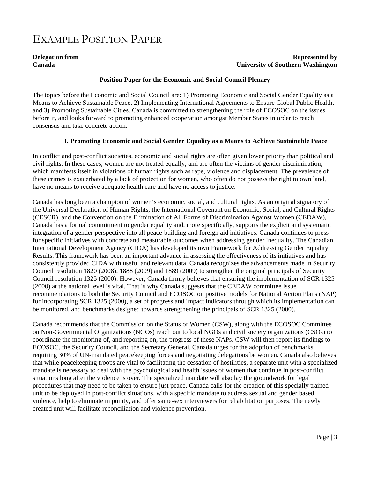# EXAMPLE POSITION PAPER

## **Delegation from Represented by Canada University of Southern Washington**

#### **Position Paper for the Economic and Social Council Plenary**

The topics before the Economic and Social Council are: 1) Promoting Economic and Social Gender Equality as a Means to Achieve Sustainable Peace, 2) Implementing International Agreements to Ensure Global Public Health, and 3) Promoting Sustainable Cities. Canada is committed to strengthening the role of ECOSOC on the issues before it, and looks forward to promoting enhanced cooperation amongst Member States in order to reach consensus and take concrete action.

## **I. Promoting Economic and Social Gender Equality as a Means to Achieve Sustainable Peace**

In conflict and post-conflict societies, economic and social rights are often given lower priority than political and civil rights. In these cases, women are not treated equally, and are often the victims of gender discrimination, which manifests itself in violations of human rights such as rape, violence and displacement. The prevalence of these crimes is exacerbated by a lack of protection for women, who often do not possess the right to own land, have no means to receive adequate health care and have no access to justice.

Canada has long been a champion of women's economic, social, and cultural rights. As an original signatory of the Universal Declaration of Human Rights, the International Covenant on Economic, Social, and Cultural Rights (CESCR), and the Convention on the Elimination of All Forms of Discrimination Against Women (CEDAW), Canada has a formal commitment to gender equality and, more specifically, supports the explicit and systematic integration of a gender perspective into all peace-building and foreign aid initiatives. Canada continues to press for specific initiatives with concrete and measurable outcomes when addressing gender inequality. The Canadian International Development Agency (CIDA) has developed its own Framework for Addressing Gender Equality Results. This framework has been an important advance in assessing the effectiveness of its initiatives and has consistently provided CIDA with useful and relevant data. Canada recognizes the advancements made in Security Council resolution 1820 (2008), 1888 (2009) and 1889 (2009) to strengthen the original principals of Security Council resolution 1325 (2000). However, Canada firmly believes that ensuring the implementation of SCR 1325 (2000) at the national level is vital. That is why Canada suggests that the CEDAW committee issue recommendations to both the Security Council and ECOSOC on positive models for National Action Plans (NAP) for incorporating SCR 1325 (2000), a set of progress and impact indicators through which its implementation can be monitored, and benchmarks designed towards strengthening the principals of SCR 1325 (2000).

Canada recommends that the Commission on the Status of Women (CSW), along with the ECOSOC Committee on Non-Governmental Organizations (NGOs) reach out to local NGOs and civil society organizations (CSOs) to coordinate the monitoring of, and reporting on, the progress of these NAPs. CSW will then report its findings to ECOSOC, the Security Council, and the Secretary General. Canada urges for the adoption of benchmarks requiring 30% of UN-mandated peacekeeping forces and negotiating delegations be women. Canada also believes that while peacekeeping troops are vital to facilitating the cessation of hostilities, a separate unit with a specialized mandate is necessary to deal with the psychological and health issues of women that continue in post-conflict situations long after the violence is over. The specialized mandate will also lay the groundwork for legal procedures that may need to be taken to ensure just peace. Canada calls for the creation of this specially trained unit to be deployed in post-conflict situations, with a specific mandate to address sexual and gender based violence, help to eliminate impunity, and offer same-sex interviewers for rehabilitation purposes. The newly created unit will facilitate reconciliation and violence prevention.